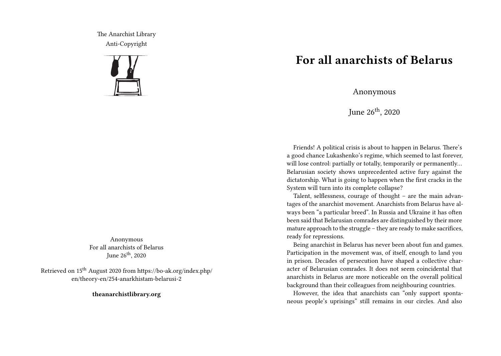The Anarchist Library Anti-Copyright



Anonymous For all anarchists of Belarus June  $26<sup>th</sup>$ , 2020

Retrieved on 15th August 2020 from https://bo-ak.org/index.php/ en/theory-en/254-anarkhistam-belarusi-2

**theanarchistlibrary.org**

## **For all anarchists of Belarus**

Anonymous

June 26<sup>th</sup>, 2020

Friends! A political crisis is about to happen in Belarus. There's a good chance Lukashenko's regime, which seemed to last forever, will lose control: partially or totally, temporarily or permanently... Belarusian society shows unprecedented active fury against the dictatorship. What is going to happen when the first cracks in the System will turn into its complete collapse?

Talent, selflessness, courage of thought – are the main advantages of the anarchist movement. Anarchists from Belarus have always been "a particular breed". In Russia and Ukraine it has often been said that Belarusian comrades are distinguished by their more mature approach to the struggle – they are ready to make sacrifices, ready for repressions.

Being anarchist in Belarus has never been about fun and games. Participation in the movement was, of itself, enough to land you in prison. Decades of persecution have shaped a collective character of Belarusian comrades. It does not seem coincidental that anarchists in Belarus are more noticeable on the overall political background than their colleagues from neighbouring countries.

However, the idea that anarchists can "only support spontaneous people's uprisings" still remains in our circles. And also